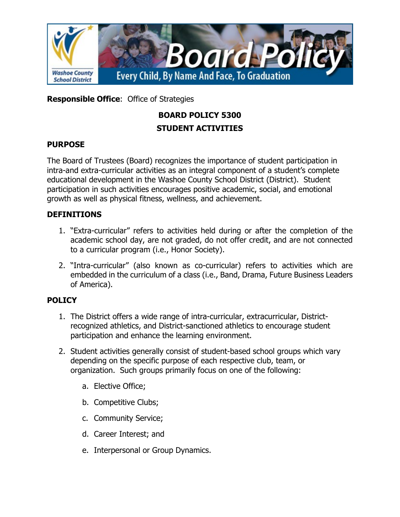

**Responsible Office**: Office of Strategies

# **BOARD POLICY 5300 STUDENT ACTIVITIES**

## **PURPOSE**

The Board of Trustees (Board) recognizes the importance of student participation in intra-and extra-curricular activities as an integral component of a student's complete educational development in the Washoe County School District (District). Student participation in such activities encourages positive academic, social, and emotional growth as well as physical fitness, wellness, and achievement.

## **DEFINITIONS**

- 1. "Extra-curricular" refers to activities held during or after the completion of the academic school day, are not graded, do not offer credit, and are not connected to a curricular program (i.e., Honor Society).
- 2. "Intra-curricular" (also known as co-curricular) refers to activities which are embedded in the curriculum of a class (i.e., Band, Drama, Future Business Leaders of America).

# **POLICY**

- 1. The District offers a wide range of intra-curricular, extracurricular, Districtrecognized athletics, and District-sanctioned athletics to encourage student participation and enhance the learning environment.
- 2. Student activities generally consist of student-based school groups which vary depending on the specific purpose of each respective club, team, or organization. Such groups primarily focus on one of the following:
	- a. Elective Office;
	- b. Competitive Clubs;
	- c. Community Service;
	- d. Career Interest; and
	- e. Interpersonal or Group Dynamics.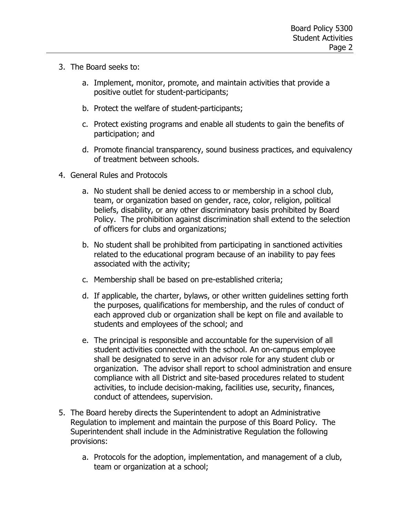- 3. The Board seeks to:
	- a. Implement, monitor, promote, and maintain activities that provide a positive outlet for student-participants;
	- b. Protect the welfare of student-participants;
	- c. Protect existing programs and enable all students to gain the benefits of participation; and
	- d. Promote financial transparency, sound business practices, and equivalency of treatment between schools.
- 4. General Rules and Protocols
	- a. No student shall be denied access to or membership in a school club, team, or organization based on gender, race, color, religion, political beliefs, disability, or any other discriminatory basis prohibited by Board Policy. The prohibition against discrimination shall extend to the selection of officers for clubs and organizations;
	- b. No student shall be prohibited from participating in sanctioned activities related to the educational program because of an inability to pay fees associated with the activity;
	- c. Membership shall be based on pre-established criteria;
	- d. If applicable, the charter, bylaws, or other written guidelines setting forth the purposes, qualifications for membership, and the rules of conduct of each approved club or organization shall be kept on file and available to students and employees of the school; and
	- e. The principal is responsible and accountable for the supervision of all student activities connected with the school. An on-campus employee shall be designated to serve in an advisor role for any student club or organization. The advisor shall report to school administration and ensure compliance with all District and site-based procedures related to student activities, to include decision-making, facilities use, security, finances, conduct of attendees, supervision.
- 5. The Board hereby directs the Superintendent to adopt an Administrative Regulation to implement and maintain the purpose of this Board Policy. The Superintendent shall include in the Administrative Regulation the following provisions:
	- a. Protocols for the adoption, implementation, and management of a club, team or organization at a school;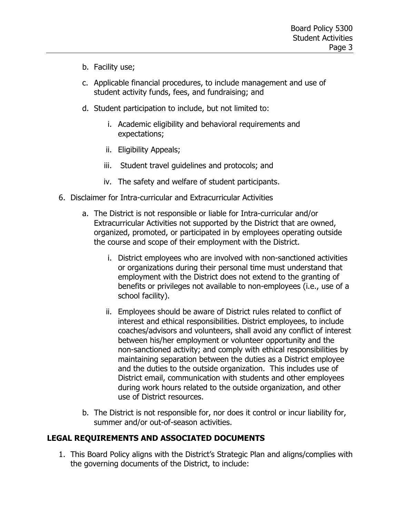- b. Facility use;
- c. Applicable financial procedures, to include management and use of student activity funds, fees, and fundraising; and
- d. Student participation to include, but not limited to:
	- i. Academic eligibility and behavioral requirements and expectations;
	- ii. Eligibility Appeals;
	- iii. Student travel guidelines and protocols; and
	- iv. The safety and welfare of student participants.
- 6. Disclaimer for Intra-curricular and Extracurricular Activities
	- a. The District is not responsible or liable for Intra-curricular and/or Extracurricular Activities not supported by the District that are owned, organized, promoted, or participated in by employees operating outside the course and scope of their employment with the District.
		- i. District employees who are involved with non-sanctioned activities or organizations during their personal time must understand that employment with the District does not extend to the granting of benefits or privileges not available to non-employees (i.e., use of a school facility).
		- ii. Employees should be aware of District rules related to conflict of interest and ethical responsibilities. District employees, to include coaches/advisors and volunteers, shall avoid any conflict of interest between his/her employment or volunteer opportunity and the non-sanctioned activity; and comply with ethical responsibilities by maintaining separation between the duties as a District employee and the duties to the outside organization. This includes use of District email, communication with students and other employees during work hours related to the outside organization, and other use of District resources.
	- b. The District is not responsible for, nor does it control or incur liability for, summer and/or out-of-season activities.

### **LEGAL REQUIREMENTS AND ASSOCIATED DOCUMENTS**

1. This Board Policy aligns with the District's Strategic Plan and aligns/complies with the governing documents of the District, to include: